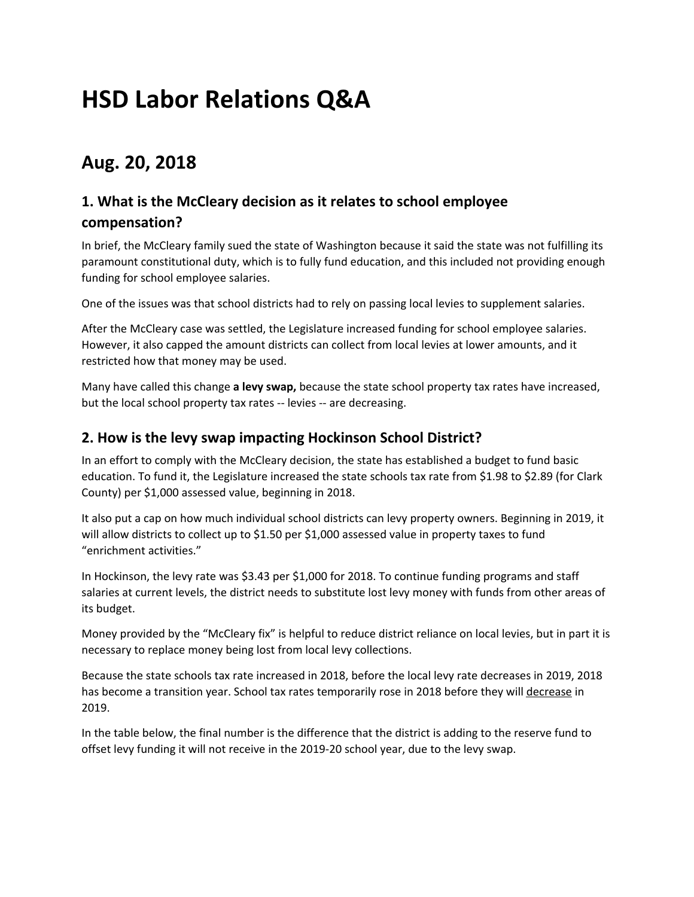# **HSD Labor Relations Q&A**

# **Aug. 20, 2018**

# **1. What is the McCleary decision as it relates to school employee compensation?**

In brief, the McCleary family sued the state of Washington because it said the state was not fulfilling its paramount constitutional duty, which is to fully fund education, and this included not providing enough funding for school employee salaries.

One of the issues was that school districts had to rely on passing local levies to supplement salaries.

After the McCleary case was settled, the Legislature increased funding for school employee salaries. However, it also capped the amount districts can collect from local levies at lower amounts, and it restricted how that money may be used.

Many have called this change **a levy swap,** because the state school property tax rates have increased, but the local school property tax rates -- levies -- are decreasing.

#### **2. How is the levy swap impacting Hockinson School District?**

In an effort to comply with the McCleary decision, the state has established a budget to fund basic education. To fund it, the Legislature increased the state schools tax rate from \$1.98 to \$2.89 (for Clark County) per \$1,000 assessed value, beginning in 2018.

It also put a cap on how much individual school districts can levy property owners. Beginning in 2019, it will allow districts to collect up to \$1.50 per \$1,000 assessed value in property taxes to fund "enrichment activities."

In Hockinson, the levy rate was \$3.43 per \$1,000 for 2018. To continue funding programs and staff salaries at current levels, the district needs to substitute lost levy money with funds from other areas of its budget.

Money provided by the "McCleary fix" is helpful to reduce district reliance on local levies, but in part it is necessary to replace money being lost from local levy collections.

Because the state schools tax rate increased in 2018, before the local levy rate decreases in 2019, 2018 has become a transition year. School tax rates temporarily rose in 2018 before they will decrease in 2019.

In the table below, the final number is the difference that the district is adding to the reserve fund to offset levy funding it will not receive in the 2019-20 school year, due to the levy swap.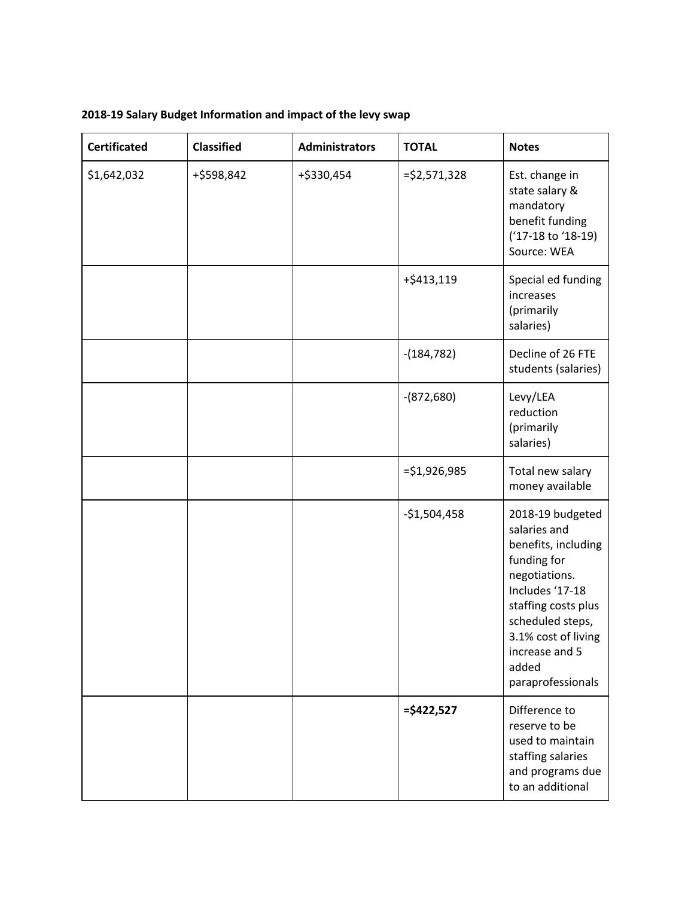| <b>Certificated</b> | <b>Classified</b> | <b>Administrators</b> | <b>TOTAL</b>    | <b>Notes</b>                                                                                                                                                                                                                 |
|---------------------|-------------------|-----------------------|-----------------|------------------------------------------------------------------------------------------------------------------------------------------------------------------------------------------------------------------------------|
| \$1,642,032         | +\$598,842        | +\$330,454            | $=$ \$2,571,328 | Est. change in<br>state salary &<br>mandatory<br>benefit funding<br>('17-18 to '18-19)<br>Source: WEA                                                                                                                        |
|                     |                   |                       | +\$413,119      | Special ed funding<br>increases<br>(primarily<br>salaries)                                                                                                                                                                   |
|                     |                   |                       | $-(184, 782)$   | Decline of 26 FTE<br>students (salaries)                                                                                                                                                                                     |
|                     |                   |                       | $-(872,680)$    | Levy/LEA<br>reduction<br>(primarily<br>salaries)                                                                                                                                                                             |
|                     |                   |                       | $= $1,926,985$  | Total new salary<br>money available                                                                                                                                                                                          |
|                     |                   |                       | $-$1,504,458$   | 2018-19 budgeted<br>salaries and<br>benefits, including<br>funding for<br>negotiations.<br>Includes '17-18<br>staffing costs plus<br>scheduled steps,<br>3.1% cost of living<br>increase and 5<br>added<br>paraprofessionals |
|                     |                   |                       | $=$ \$422,527   | Difference to<br>reserve to be<br>used to maintain<br>staffing salaries<br>and programs due<br>to an additional                                                                                                              |

**2018-19 Salary Budget Information and impact of the levy swap**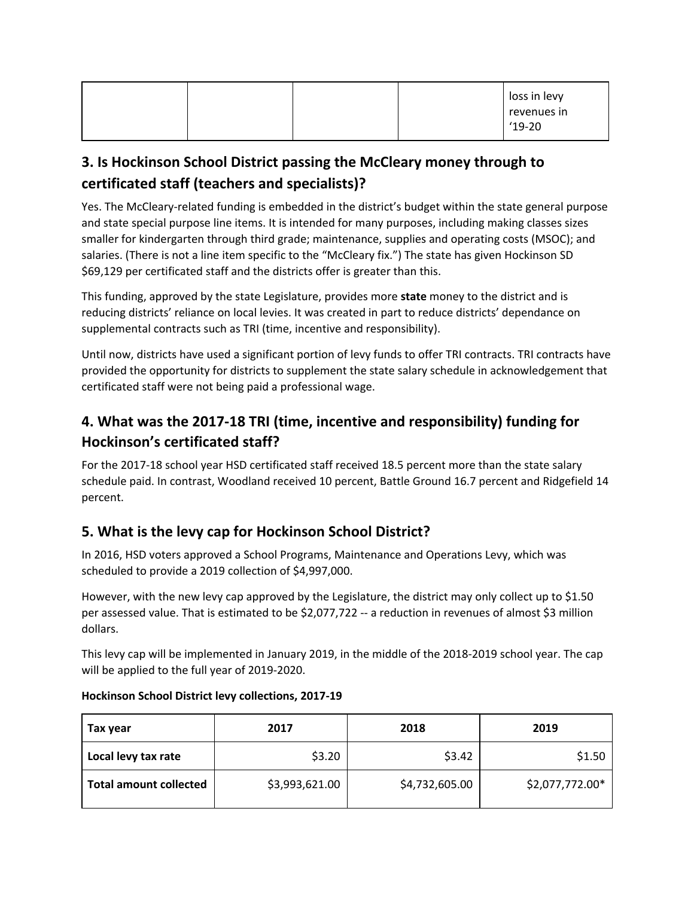|  |  | loss in levy<br>revenues in |
|--|--|-----------------------------|
|  |  | $'19-20$                    |

# **3. Is Hockinson School District passing the McCleary money through to certificated staff (teachers and specialists)?**

Yes. The McCleary-related funding is embedded in the district's budget within the state general purpose and state special purpose line items. It is intended for many purposes, including making classes sizes smaller for kindergarten through third grade; maintenance, supplies and operating costs (MSOC); and salaries. (There is not a line item specific to the "McCleary fix.") The state has given Hockinson SD \$69,129 per certificated staff and the districts offer is greater than this.

This funding, approved by the state Legislature, provides more **state** money to the district and is reducing districts' reliance on local levies. It was created in part to reduce districts' dependance on supplemental contracts such as TRI (time, incentive and responsibility).

Until now, districts have used a significant portion of levy funds to offer TRI contracts. TRI contracts have provided the opportunity for districts to supplement the state salary schedule in acknowledgement that certificated staff were not being paid a professional wage.

# **4. What was the 2017-18 TRI (time, incentive and responsibility) funding for Hockinson's certificated staff?**

For the 2017-18 school year HSD certificated staff received 18.5 percent more than the state salary schedule paid. In contrast, Woodland received 10 percent, Battle Ground 16.7 percent and Ridgefield 14 percent.

# **5. What is the levy cap for Hockinson School District?**

In 2016, HSD voters approved a School Programs, Maintenance and Operations Levy, which was scheduled to provide a 2019 collection of \$4,997,000.

However, with the new levy cap approved by the Legislature, the district may only collect up to \$1.50 per assessed value. That is estimated to be \$2,077,722 -- a reduction in revenues of almost \$3 million dollars.

This levy cap will be implemented in January 2019, in the middle of the 2018-2019 school year. The cap will be applied to the full year of 2019-2020.

| Tax year                      | 2017           |                | 2019            |  |
|-------------------------------|----------------|----------------|-----------------|--|
| Local levy tax rate           | \$3.20         | \$3.42         | \$1.50          |  |
| <b>Total amount collected</b> | \$3,993,621.00 | \$4,732,605.00 | \$2,077,772.00* |  |

#### **Hockinson School District levy collections, 2017-19**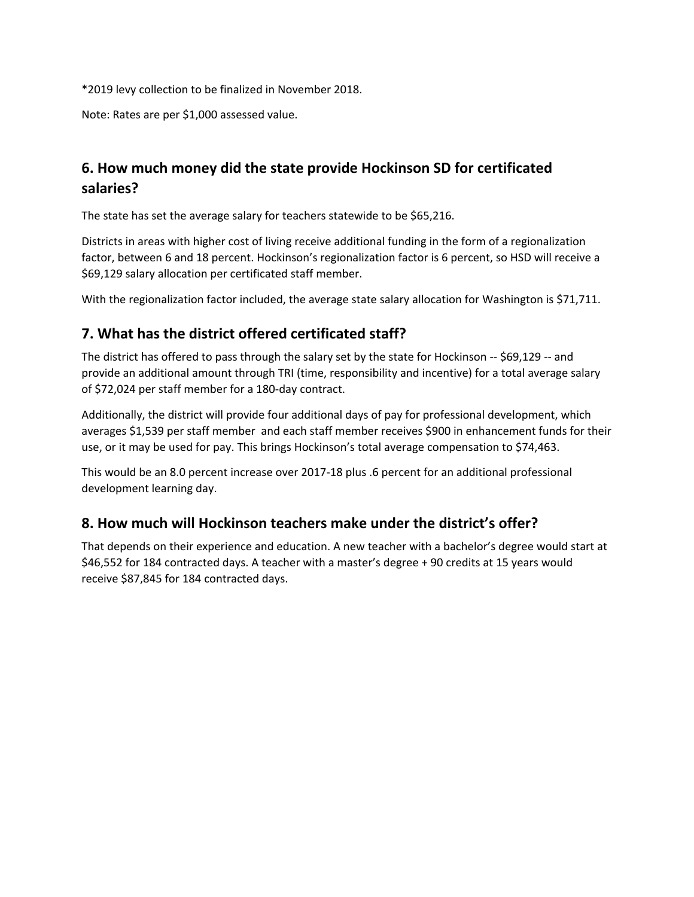\*2019 levy collection to be finalized in November 2018.

Note: Rates are per \$1,000 assessed value.

# **6. How much money did the state provide Hockinson SD for certificated salaries?**

The state has set the average salary for teachers statewide to be \$65,216.

Districts in areas with higher cost of living receive additional funding in the form of a regionalization factor, between 6 and 18 percent. Hockinson's regionalization factor is 6 percent, so HSD will receive a \$69,129 salary allocation per certificated staff member.

With the regionalization factor included, the average state salary allocation for Washington is \$71,711.

#### **7. What has the district offered certificated staff?**

The district has offered to pass through the salary set by the state for Hockinson -- \$69,129 -- and provide an additional amount through TRI (time, responsibility and incentive) for a total average salary of \$72,024 per staff member for a 180-day contract.

Additionally, the district will provide four additional days of pay for professional development, which averages \$1,539 per staff member and each staff member receives \$900 in enhancement funds for their use, or it may be used for pay. This brings Hockinson's total average compensation to \$74,463.

This would be an 8.0 percent increase over 2017-18 plus .6 percent for an additional professional development learning day.

#### **8. How much will Hockinson teachers make under the district's offer?**

That depends on their experience and education. A new teacher with a bachelor's degree would start at \$46,552 for 184 contracted days. A teacher with a master's degree + 90 credits at 15 years would receive \$87,845 for 184 contracted days.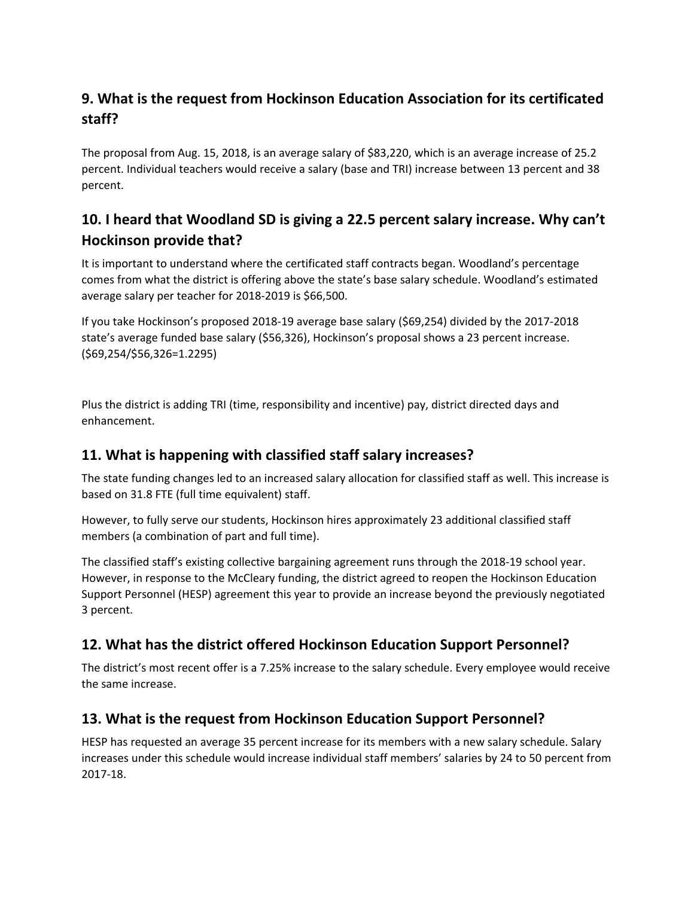# **9. What is the request from Hockinson Education Association for its certificated staff?**

The proposal from Aug. 15, 2018, is an average salary of \$83,220, which is an average increase of 25.2 percent. Individual teachers would receive a salary (base and TRI) increase between 13 percent and 38 percent.

# **10. I heard that Woodland SD is giving a 22.5 percent salary increase. Why can't Hockinson provide that?**

It is important to understand where the certificated staff contracts began. Woodland's percentage comes from what the district is offering above the state's base salary schedule. Woodland's estimated average salary per teacher for 2018-2019 is \$66,500.

If you take Hockinson's proposed 2018-19 average base salary (\$69,254) divided by the 2017-2018 state's average funded base salary (\$56,326), Hockinson's proposal shows a 23 percent increase. (\$69,254/\$56,326=1.2295)

Plus the district is adding TRI (time, responsibility and incentive) pay, district directed days and enhancement.

### **11. What is happening with classified staff salary increases?**

The state funding changes led to an increased salary allocation for classified staff as well. This increase is based on 31.8 FTE (full time equivalent) staff.

However, to fully serve our students, Hockinson hires approximately 23 additional classified staff members (a combination of part and full time).

The classified staff's existing collective bargaining agreement runs through the 2018-19 school year. However, in response to the McCleary funding, the district agreed to reopen the Hockinson Education Support Personnel (HESP) agreement this year to provide an increase beyond the previously negotiated 3 percent.

# **12. What has the district offered Hockinson Education Support Personnel?**

The district's most recent offer is a 7.25% increase to the salary schedule. Every employee would receive the same increase.

#### **13. What is the request from Hockinson Education Support Personnel?**

HESP has requested an average 35 percent increase for its members with a new salary schedule. Salary increases under this schedule would increase individual staff members' salaries by 24 to 50 percent from 2017-18.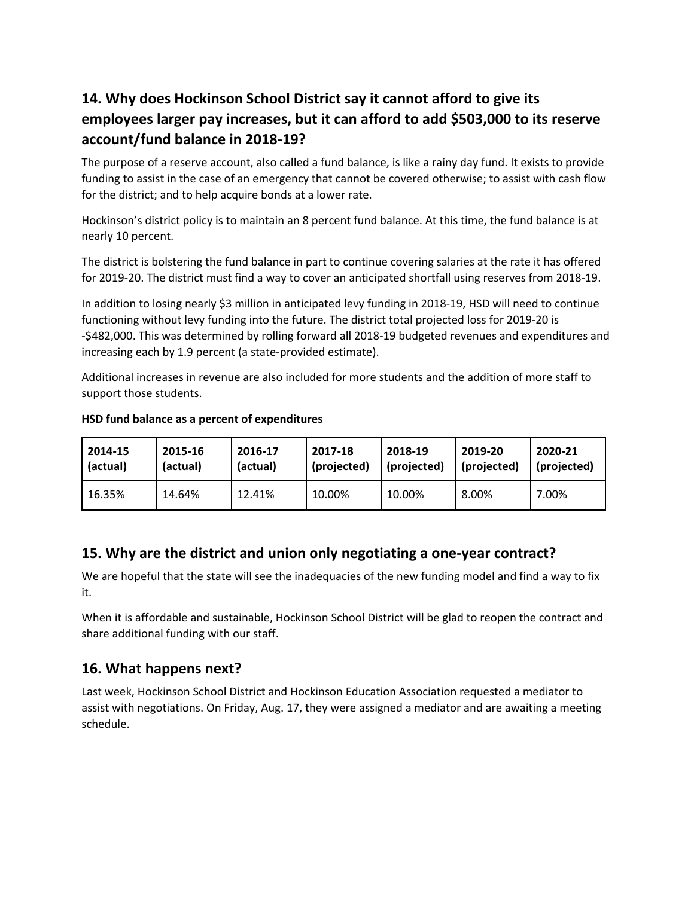# **14. Why does Hockinson School District say it cannot afford to give its employees larger pay increases, but it can afford to add \$503,000 to its reserve account/fund balance in 2018-19?**

The purpose of a reserve account, also called a fund balance, is like a rainy day fund. It exists to provide funding to assist in the case of an emergency that cannot be covered otherwise; to assist with cash flow for the district; and to help acquire bonds at a lower rate.

Hockinson's district policy is to maintain an 8 percent fund balance. At this time, the fund balance is at nearly 10 percent.

The district is bolstering the fund balance in part to continue covering salaries at the rate it has offered for 2019-20. The district must find a way to cover an anticipated shortfall using reserves from 2018-19.

In addition to losing nearly \$3 million in anticipated levy funding in 2018-19, HSD will need to continue functioning without levy funding into the future. The district total projected loss for 2019-20 is -\$482,000. This was determined by rolling forward all 2018-19 budgeted revenues and expenditures and increasing each by 1.9 percent (a state-provided estimate).

Additional increases in revenue are also included for more students and the addition of more staff to support those students.

| 2014-15  | 2015-16  | 2016-17  | 2017-18     | 2018-19     | 2019-20     | 2020-21     |
|----------|----------|----------|-------------|-------------|-------------|-------------|
| (actual) | (actual) | (actual) | (projected) | (projected) | (projected) | (projected) |
| 16.35%   | 14.64%   | 12.41%   | 10.00%      | 10.00%      | 8.00%       | 7.00%       |

#### **HSD fund balance as a percent of expenditures**

#### **15. Why are the district and union only negotiating a one-year contract?**

We are hopeful that the state will see the inadequacies of the new funding model and find a way to fix it.

When it is affordable and sustainable, Hockinson School District will be glad to reopen the contract and share additional funding with our staff.

#### **16. What happens next?**

Last week, Hockinson School District and Hockinson Education Association requested a mediator to assist with negotiations. On Friday, Aug. 17, they were assigned a mediator and are awaiting a meeting schedule.